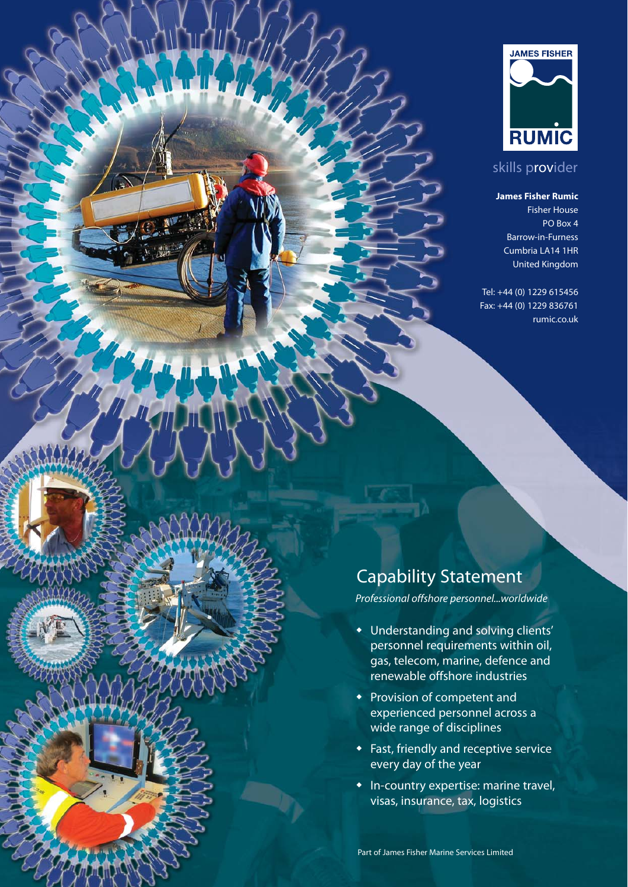

## skills provider

#### **James Fisher Rumic**

Fisher House PO Box 4 Barrow-in-Furness Cumbria LA14 1HR United Kingdom

Tel: +44 (0) 1229 615456 Fax: +44 (0) 1229 836761 rumic.co.uk

# Capability Statement

*Professional offshore personnel...worldwide*

- Understanding and solving clients' personnel requirements within oil, gas, telecom, marine, defence and renewable offshore industries
- Provision of competent and experienced personnel across a wide range of disciplines
- $\bullet$  Fast, friendly and receptive service every day of the year
- In-country expertise: marine travel, visas, insurance, tax, logistics